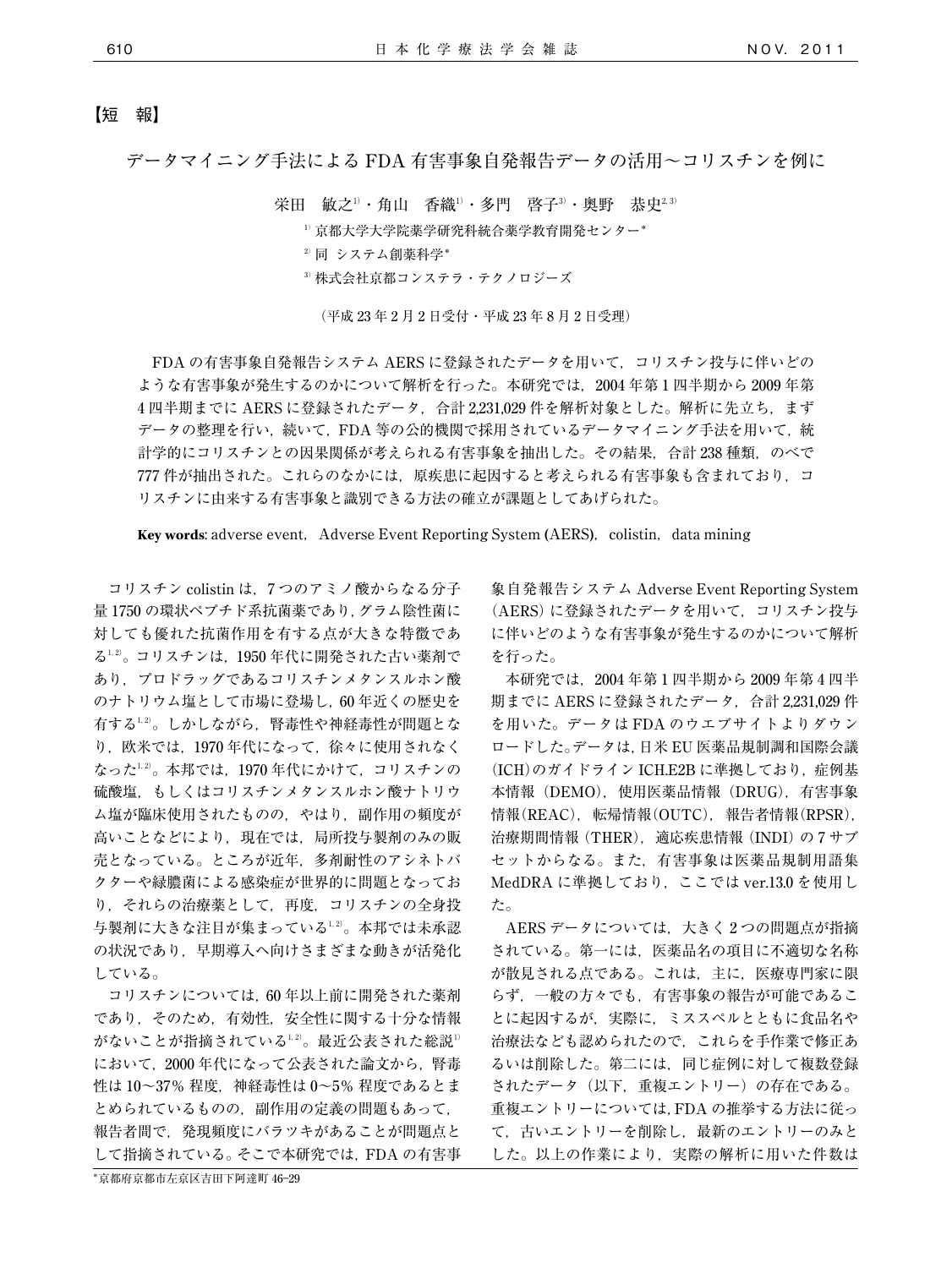## 【短 報】

データマイニング手法による FDA 有害事象自発報告データの活用~コリスチンを例に

栄田 敏之<sup>」</sup>・角山 香織<sup>」</sup>・多門 啓子<sup>3</sup>・奥野 恭史<sup>2,3)</sup>

<sup>1</sup>)京都大学大学院薬学研究科統合薬学教育開発センター\*

- $2$ <sup>2</sup>同 システム創薬科学\*
- <sup>3</sup>)株式会社京都コンステラ・テクノロジーズ

(平成 23 年 2 月 2 日受付・平成 23 年 8 月 2 日受理)

FDA の有害事象自発報告システム AERS に登録されたデータを用いて,コリスチン投与に伴いどの ような有害事象が発生するのかについて解析を行った。本研究では,2004 年第 1 四半期から 2009 年第 4 四半期までに AERS に登録されたデータ, 合計 2,231,029 件を解析対象とした。解析に先立ち,まず データの整理を行い、続いて、FDA 等の公的機関で採用されているデータマイニング手法を用いて、統 計学的にコリスチンとの因果関係が考えられる有害事象を抽出した。その結果、合計 238 種類,のべで 777 件が抽出された。これらのなかには、原疾患に起因すると考えられる有害事象も含まれており、コ リスチンに由来する有害事象と識別できる方法の確立が課題としてあげられた。

**Key words:** adverse event, Adverse Event Reporting System (AERS), colistin, data mining

コリスチン colistin は,7 つのアミノ酸からなる分子 量 1750 の環状ペプチド系抗菌薬であり,グラム陰性菌に 対しても優れた抗菌作用を有する点が大きな特徴であ る1,2) 。コリスチンは,1950 年代に開発された古い薬剤で あり,プロドラッグであるコリスチンメタンスルホン酸 のナトリウム塩として市場に登場し,60 年近くの歴史を 有する $^{1.2)}$ 。しかしながら,腎毒性や神経毒性が問題とな り,欧米では,1970 年代になって,徐々に使用されなく なった $^{1,2)}$ 。本邦では,1970 年代にかけて,コリスチンの 硫酸塩,もしくはコリスチンメタンスルホン酸ナトリウ ム塩が臨床使用されたものの,やはり,副作用の頻度が 高いことなどにより,現在では,局所投与製剤のみの販 売となっている。ところが近年,多剤耐性のアシネトバ クターや緑膿菌による感染症が世界的に問題となってお り,それらの治療薬として,再度,コリスチンの全身投 与製剤に大きな注目が集まっている $^{1,2}$ 。本邦では未承認 の状況であり、早期導入へ向けさまざまな動きが活発化 している。

コリスチンについては,60 年以上前に開発された薬剤 であり,そのため,有効性,安全性に関する十分な情報 がないことが指摘されている $^{1,2}$ 。最近公表された総説 $^{1)}$ において、2000年代になって公表された論文から、腎毒 性は 10~37% 程度,神経毒性は 0~5% 程度であるとま とめられているものの,副作用の定義の問題もあって, 報告者間で,発現頻度にバラツキがあることが問題点と して指摘されている。そこで本研究では,FDA の有害事

\*京都府京都市左京区吉田下阿達町 46―29

象自発報告システム Adverse Event Reporting System (AERS)に登録されたデータを用いて、コリスチン投与 に伴いどのような有害事象が発生するのかについて解析 を行った。

本研究では,2004 年第 1 四半期から 2009 年第 4 四半 期までに AERS に登録されたデータ,合計 2,231,029 件 を用いた。データは FDA のウエブサイトよりダウン ロードした。データは,日米 EU 医薬品規制調和国際会議 (ICH)のガイドライン ICH.E2B に準拠しており,症例基 本情報(DEMO),使用医薬品情報(DRUG),有害事象 情報(REAC), 転帰情報(OUTC), 報告者情報(RPSR), 治療期間情報(THER),適応疾患情報(INDI)の 7 サブ セットからなる。また,有害事象は医薬品規制用語集 MedDRA に準拠しており,ここでは ver.13.0 を使用し た。

AERS データについては、大きく2つの問題点が指摘 されている。第一には,医薬品名の項目に不適切な名称 が散見される点である。これは,主に,医療専門家に限 らず,一般の方々でも,有害事象の報告が可能であるこ とに起因するが,実際に,ミススペルとともに食品名や 治療法なども認められたので,これらを手作業で修正あ るいは削除した。第二には,同じ症例に対して複数登録 されたデータ(以下,重複エントリー)の存在である。 重複エントリーについては,FDA の推挙する方法に従っ て,古いエントリーを削除し,最新のエントリーのみと した。以上の作業により、実際の解析に用いた件数は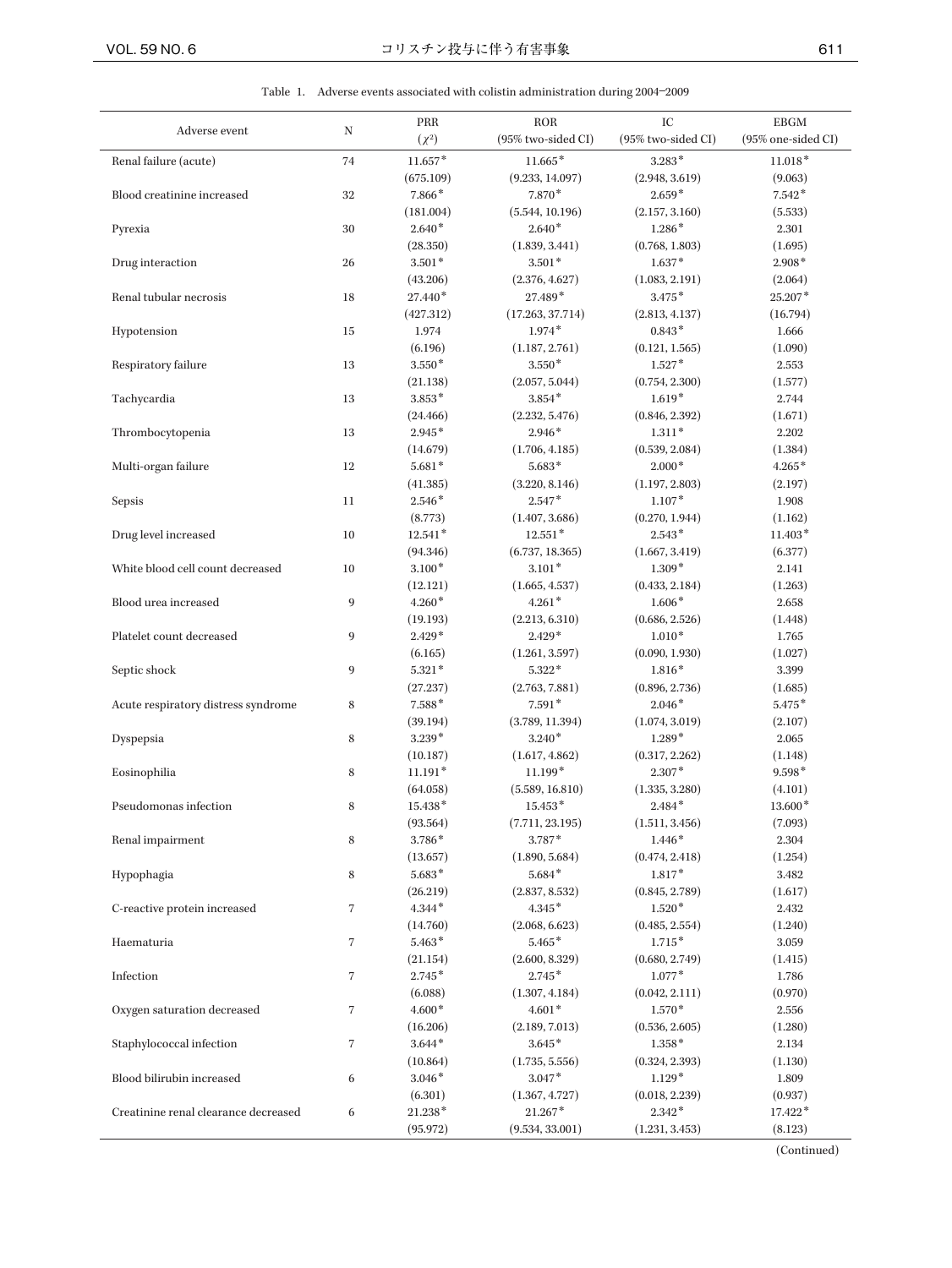Table 1. Adverse events associated with colistin administration during 2004―2009

|                                      |                | PRR        | <b>ROR</b>         | IC                 | <b>EBGM</b>        |
|--------------------------------------|----------------|------------|--------------------|--------------------|--------------------|
| Adverse event                        | N              | $(\chi^2)$ | (95% two-sided CI) | (95% two-sided CI) | (95% one-sided CI) |
| Renal failure (acute)                | 74             | $11.657*$  | $11.665*$          | $3.283*$           | $11.018*$          |
|                                      |                | (675.109)  | (9.233, 14.097)    | (2.948, 3.619)     | (9.063)            |
| Blood creatinine increased           | 32             | 7.866*     | 7.870*             | $2.659*$           | $7.542*$           |
|                                      |                | (181.004)  | (5.544, 10.196)    | (2.157, 3.160)     | (5.533)            |
| Pyrexia                              | 30             | $2.640*$   | $2.640*$           | $1.286*$           | 2.301              |
|                                      |                | (28.350)   | (1.839, 3.441)     | (0.768, 1.803)     | (1.695)            |
| Drug interaction                     | 26             | $3.501*$   | $3.501*$           | $1.637*$           | $2.908*$           |
|                                      |                | (43.206)   | (2.376, 4.627)     | (1.083, 2.191)     | (2.064)            |
| Renal tubular necrosis               | 18             | 27.440*    | 27.489*            | $3.475*$           | $25.207*$          |
|                                      |                | (427.312)  | (17.263, 37.714)   | (2.813, 4.137)     | (16.794)           |
| Hypotension                          | 15             | 1.974      | $1.974*$           | $0.843*$           | 1.666              |
|                                      |                | (6.196)    | (1.187, 2.761)     | (0.121, 1.565)     | (1.090)            |
| Respiratory failure                  | 13             | $3.550*$   | $3.550*$           | $1.527*$           | 2.553              |
|                                      |                | (21.138)   | (2.057, 5.044)     | (0.754, 2.300)     | (1.577)            |
| Tachycardia                          | 13             | $3.853*$   | $3.854*$           | $1.619*$           | 2.744              |
|                                      |                | (24.466)   | (2.232, 5.476)     | (0.846, 2.392)     | (1.671)            |
| Thrombocytopenia                     | 13             | $2.945*$   | $2.946*$           | $1.311*$           | 2.202              |
|                                      |                | (14.679)   | (1.706, 4.185)     | (0.539, 2.084)     | (1.384)            |
| Multi-organ failure                  | 12             | $5.681*$   | $5.683*$           | $2.000*$           | $4.265*$           |
|                                      |                | (41.385)   | (3.220, 8.146)     | (1.197, 2.803)     | (2.197)            |
| Sepsis                               | 11             | $2.546*$   | $2.547*$           | $1.107*$           | 1.908              |
|                                      |                | (8.773)    | (1.407, 3.686)     | (0.270, 1.944)     | (1.162)            |
| Drug level increased                 | 10             | $12.541*$  | $12.551*$          | $2.543*$           | $11.403*$          |
|                                      |                | (94.346)   | (6.737, 18.365)    | (1.667, 3.419)     | (6.377)            |
| White blood cell count decreased     | 10             | $3.100*$   | $3.101*$           | $1.309*$           | 2.141              |
|                                      |                | (12.121)   | (1.665, 4.537)     | (0.433, 2.184)     | (1.263)            |
| Blood urea increased                 | 9              | $4.260*$   | $4.261*$           | $1.606*$           | 2.658              |
|                                      |                | (19.193)   | (2.213, 6.310)     | (0.686, 2.526)     | (1.448)            |
| Platelet count decreased             | 9              | $2.429*$   | $2.429*$           | $1.010*$           | 1.765              |
|                                      |                | (6.165)    | (1.261, 3.597)     | (0.090, 1.930)     | (1.027)            |
| Septic shock                         | 9              | $5.321*$   | $5.322*$           | $1.816*$           | 3.399              |
|                                      |                | (27.237)   | (2.763, 7.881)     | (0.896, 2.736)     | (1.685)            |
| Acute respiratory distress syndrome  | 8              | $7.588*$   | $7.591*$           | $2.046*$           | $5.475*$           |
|                                      |                | (39.194)   | (3.789, 11.394)    | (1.074, 3.019)     | (2.107)            |
| Dyspepsia                            | 8              | $3.239*$   | $3.240*$           | $1.289*$           | 2.065              |
|                                      |                | (10.187)   | (1.617, 4.862)     | (0.317, 2.262)     | (1.148)            |
| Eosinophilia                         | 8              | $11.191*$  | 11.199*            | $2.307*$           | $9.598*$           |
|                                      |                | (64.058)   | (5.589, 16.810)    | (1.335, 3.280)     | (4.101)            |
| Pseudomonas infection                | 8              | 15.438*    | $15.453*$          | $2.484*$           | $13.600*$          |
|                                      |                | (93.564)   | (7.711, 23.195)    | (1.511, 3.456)     | (7.093)            |
| Renal impairment                     | 8              | 3.786*     | 3.787*             | $1.446*$           | 2.304              |
|                                      |                | (13.657)   | (1.890, 5.684)     | (0.474, 2.418)     | (1.254)            |
| Hypophagia                           | 8              | $5.683*$   | $5.684*$           | $1.817*$           | 3.482              |
|                                      |                | (26.219)   | (2.837, 8.532)     | (0.845, 2.789)     | (1.617)            |
| C-reactive protein increased         | 7              | $4.344*$   | $4.345*$           | $1.520*$           | 2.432              |
|                                      |                | (14.760)   | (2.068, 6.623)     | (0.485, 2.554)     | (1.240)            |
| Haematuria                           | $\overline{7}$ | $5.463*$   | $5.465*$           | $1.715*$           | 3.059              |
|                                      |                | (21.154)   | (2.600, 8.329)     | (0.680, 2.749)     | (1.415)            |
| Infection                            | $\overline{7}$ | $2.745*$   | $2.745*$           | $1.077*$           | 1.786              |
|                                      |                | (6.088)    | (1.307, 4.184)     | (0.042, 2.111)     | (0.970)            |
| Oxygen saturation decreased          | $\overline{7}$ | $4.600*$   | $4.601*$           | $1.570*$           | 2.556              |
|                                      |                | (16.206)   | (2.189, 7.013)     | (0.536, 2.605)     | (1.280)            |
| Staphylococcal infection             | 7              | $3.644*$   | $3.645*$           | $1.358*$           | 2.134              |
|                                      |                | (10.864)   | (1.735, 5.556)     | (0.324, 2.393)     | (1.130)            |
| Blood bilirubin increased            | 6              | $3.046*$   | $3.047*$           | $1.129*$           | 1.809              |
|                                      |                | (6.301)    | (1.367, 4.727)     | (0.018, 2.239)     | (0.937)            |
| Creatinine renal clearance decreased | 6              | 21.238*    | $21.267*$          | $2.342*$           | 17.422*            |
|                                      |                | (95.972)   | (9.534, 33.001)    | (1.231, 3.453)     | (8.123)            |

(Continued)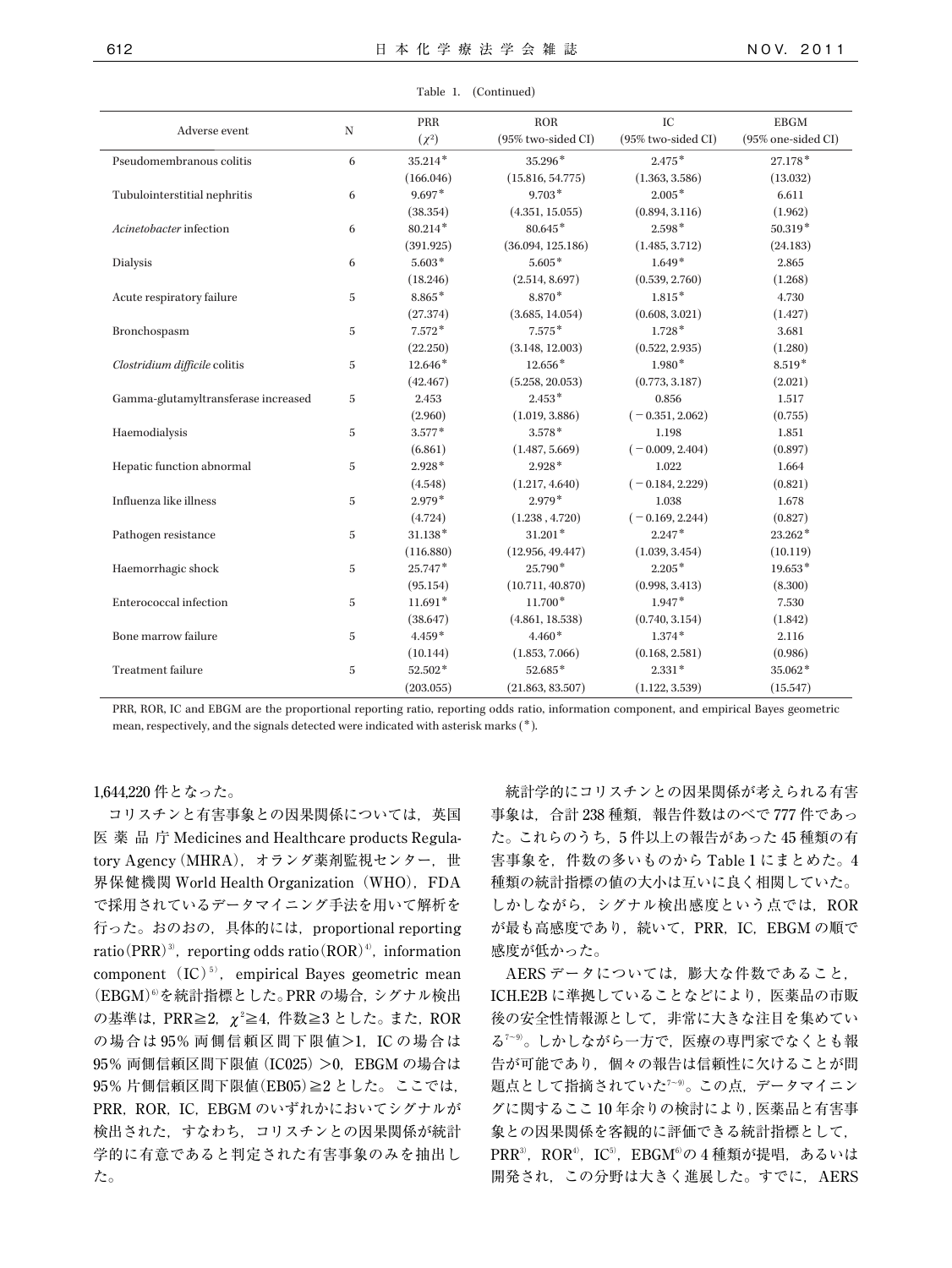| Adverse event                       | ${\rm N}$      | PRR        | <b>ROR</b>         | IC                 | <b>EBGM</b>        |
|-------------------------------------|----------------|------------|--------------------|--------------------|--------------------|
|                                     |                | $(\chi^2)$ | (95% two-sided CI) | (95% two-sided CI) | (95% one-sided CI) |
| Pseudomembranous colitis            | 6              | $35.214*$  | 35.296*            | $2.475*$           | $27.178*$          |
|                                     |                | (166.046)  | (15.816, 54.775)   | (1.363, 3.586)     | (13.032)           |
| Tubulointerstitial nephritis        | 6              | $9.697*$   | $9.703*$           | $2.005*$           | 6.611              |
|                                     |                | (38.354)   | (4.351, 15.055)    | (0.894, 3.116)     | (1.962)            |
| Acinetobacter infection             | 6              | $80.214*$  | $80.645*$          | $2.598*$           | $50.319*$          |
|                                     |                | (391.925)  | (36.094, 125.186)  | (1.485, 3.712)     | (24.183)           |
| Dialysis                            | 6              | $5.603*$   | $5.605*$           | $1.649*$           | 2.865              |
|                                     |                | (18.246)   | (2.514, 8.697)     | (0.539, 2.760)     | (1.268)            |
| Acute respiratory failure           | 5              | 8.865*     | 8.870*             | $1.815*$           | 4.730              |
|                                     |                | (27.374)   | (3.685, 14.054)    | (0.608, 3.021)     | (1.427)            |
| Bronchospasm                        | $\overline{5}$ | $7.572*$   | $7.575*$           | $1.728*$           | 3.681              |
|                                     |                | (22.250)   | (3.148, 12.003)    | (0.522, 2.935)     | (1.280)            |
| Clostridium difficile colitis       | $\overline{5}$ | $12.646*$  | $12.656*$          | $1.980*$           | $8.519*$           |
|                                     |                | (42.467)   | (5.258, 20.053)    | (0.773, 3.187)     | (2.021)            |
| Gamma-glutamyltransferase increased | $\mathbf 5$    | 2.453      | $2.453*$           | 0.856              | 1.517              |
|                                     |                | (2.960)    | (1.019, 3.886)     | $(-0.351, 2.062)$  | (0.755)            |
| Haemodialysis                       | 5              | $3.577*$   | $3.578*$           | 1.198              | 1.851              |
|                                     |                | (6.861)    | (1.487, 5.669)     | $(-0.009, 2.404)$  | (0.897)            |
| Hepatic function abnormal           | 5              | $2.928*$   | $2.928*$           | 1.022              | 1.664              |
|                                     |                | (4.548)    | (1.217, 4.640)     | $(-0.184, 2.229)$  | (0.821)            |
| Influenza like illness              | $\overline{5}$ | $2.979*$   | $2.979*$           | 1.038              | 1.678              |
|                                     |                | (4.724)    | (1.238, 4.720)     | $(-0.169, 2.244)$  | (0.827)            |
| Pathogen resistance                 | $\overline{5}$ | 31.138*    | $31.201*$          | $2.247*$           | 23.262*            |
|                                     |                | (116.880)  | (12.956, 49.447)   | (1.039, 3.454)     | (10.119)           |
| Haemorrhagic shock                  | $\overline{5}$ | $25.747*$  | 25.790*            | $2.205*$           | $19.653*$          |
|                                     |                | (95.154)   | (10.711, 40.870)   | (0.998, 3.413)     | (8.300)            |
| Enterococcal infection              | 5              | $11.691*$  | $11.700*$          | $1.947*$           | 7.530              |
|                                     |                | (38.647)   | (4.861, 18.538)    | (0.740, 3.154)     | (1.842)            |
| Bone marrow failure                 | $\overline{5}$ | $4.459*$   | $4.460*$           | $1.374*$           | 2.116              |
|                                     |                | (10.144)   | (1.853, 7.066)     | (0.168, 2.581)     | (0.986)            |
| <b>Treatment</b> failure            | $\overline{5}$ | 52.502*    | 52.685*            | $2.331*$           | 35.062*            |
|                                     |                | (203.055)  | (21.863, 83.507)   | (1.122, 3.539)     | (15.547)           |

PRR, ROR, IC and EBGM are the proportional reporting ratio, reporting odds ratio, information component, and empirical Bayes geometric mean, respectively, and the signals detected were indicated with asterisk marks (\*).

## 1,644,220 件となった。

コリスチンと有害事象との因果関係については、英国 医薬品庁 Medicines and Healthcare products Regulatory Agency(MHRA),オランダ薬剤監視センター,世 界保健機関 World Health Organization (WHO), FDA で採用されているデータマイニング手法を用いて解析を 行った。おのおの,具体的には,proportional reporting ratio(PRR)<sup>3)</sup>, reporting odds ratio(ROR)<sup>4</sup>), information component  $(IC)^{5}$ , empirical Bayes geometric mean (EBGM)6) を統計指標とした。PRR の場合,シグナル検出 の基準は, PRR≧2,χ<sup>2</sup>≧4, 件数≧3 とした。 また, ROR の場合は 95% 両側信頼区間下限値>1, IC の場合は 95% 両側信頼区間下限値(IC025)>0,EBGM の場合は 95% 片側信頼区間下限値(EB05)≧2とした。ここでは, PRR, ROR, IC, EBGM のいずれかにおいてシグナルが 検出された,すなわち,コリスチンとの因果関係が統計 学的に有意であると判定された有害事象のみを抽出し た。

統計学的にコリスチンとの因果関係が考えられる有害 事象は、合計 238 種類、報告件数はのべで 777 件であっ た。これらのうち,5 件以上の報告があった 45 種類の有 害事象を,件数の多いものから Table 1 にまとめた。4 種類の統計指標の値の大小は互いに良く相関していた。 しかしながら、シグナル検出感度という点では、ROR が最も高感度であり、続いて、PRR, IC, EBGM の順で 感度が低かった。

AERS データについては,膨大な件数であること, ICH.E2B に準拠していることなどにより、医薬品の市販 後の安全性情報源として,非常に大きな注目を集めてい る7~9) 。しかしながら一方で,医療の専門家でなくとも報 告が可能であり,個々の報告は信頼性に欠けることが問 題点として指摘されていた<sup>7~9)</sup>。この点,データマイニン グに関するここ 10 年余りの検討により,医薬品と有害事 象との因果関係を客観的に評価できる統計指標として, PRR3),ROR4),IC5),EBGM6)の4種類が提唱,あるいは 開発され、この分野は大きく進展した。すでに, AERS